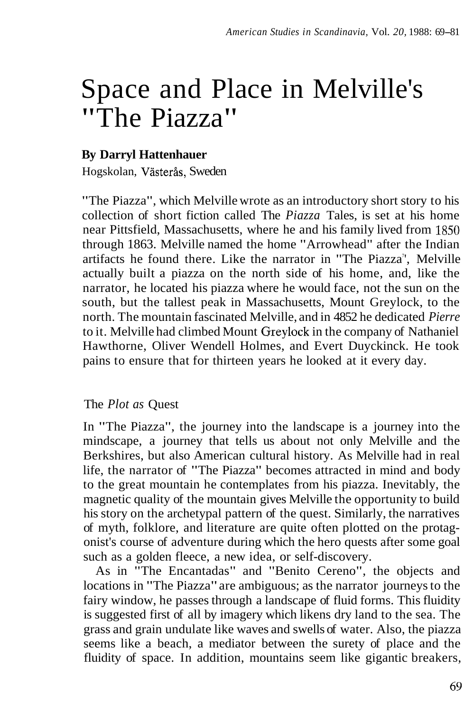# Space and Place in Melville's "The Piazza"

# **By Darryl Hattenhauer**

Hogskolan, Västerås, Sweden

"The Piazza", which Melville wrote as an introductory short story to his collection of short fiction called The *Piazza* Tales, is set at his home near Pittsfield, Massachusetts, where he and his family lived from 1850 through 1863. Melville named the home "Arrowhead" after the Indian artifacts he found there. Like the narrator in "The Piazza", Melville actually built a piazza on the north side of his home, and, like the narrator, he located his piazza where he would face, not the sun on the south, but the tallest peak in Massachusetts, Mount Greylock, to the north. The mountain fascinated Melville, and in 4852 he dedicated *Pierre*  to it. Melville had climbed Mount Greylock in the company of Nathaniel Hawthorne, Oliver Wendell Holmes, and Evert Duyckinck. He took pains to ensure that for thirteen years he looked at it every day.

## The *Plot as* Quest

In "The Piazza", the journey into the landscape is a journey into the mindscape, a journey that tells us about not only Melville and the Berkshires, but also American cultural history. As Melville had in real life, the narrator of "The Piazza" becomes attracted in mind and body to the great mountain he contemplates from his piazza. Inevitably, the magnetic quality of the mountain gives Melville the opportunity to build his story on the archetypal pattern of the quest. Similarly, the narratives of myth, folklore, and literature are quite often plotted on the protagonist's course of adventure during which the hero quests after some goal such as a golden fleece, a new idea, or self-discovery.

As in "The Encantadas" and "Benito Cereno", the objects and locations in "The Piazza" are ambiguous; as the narrator journeys to the fairy window, he passes through a landscape of fluid forms. This fluidity is suggested first of all by imagery which likens dry land to the sea. The grass and grain undulate like waves and swells of water. Also, the piazza seems like a beach, a mediator between the surety of place and the fluidity of space. In addition, mountains seem like gigantic breakers,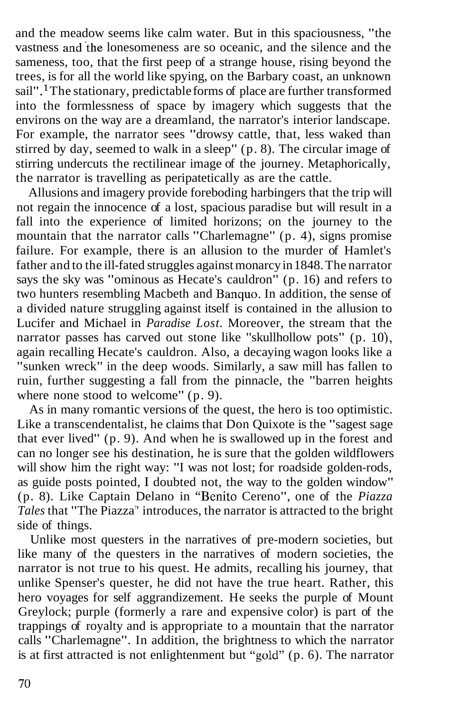and the meadow seems like calm water. But in this spaciousness, "the vastness and'the lonesomeness are so oceanic, and the silence and the sameness, too, that the first peep of a strange house, rising beyond the trees, is for all the world like spying, on the Barbary coast, an unknown sail".<sup>1</sup> The stationary, predictable forms of place are further transformed into the formlessness of space by imagery which suggests that the environs on the way are a dreamland, the narrator's interior landscape. For example, the narrator sees "drowsy cattle, that, less waked than stirred by day, seemed to walk in a sleep" (p. 8). The circular image of stirring undercuts the rectilinear image of the journey. Metaphorically, the narrator is travelling as peripatetically as are the cattle.

Allusions and imagery provide foreboding harbingers that the trip will not regain the innocence of a lost, spacious paradise but will result in a fall into the experience of limited horizons; on the journey to the mountain that the narrator calls "Charlemagne" (p. 4), signs promise failure. For example, there is an allusion to the murder of Hamlet's father and to the ill-fated struggles against monarcy in 1848. The narrator says the sky was "ominous as Hecate's cauldron" (p. 16) and refers to two hunters resembling Macbeth and Banquo. In addition, the sense of a divided nature struggling against itself is contained in the allusion to Lucifer and Michael in *Paradise Lost.* Moreover, the stream that the narrator passes has carved out stone like "skullhollow pots"  $(p. 10)$ , again recalling Hecate's cauldron. Also, a decaying wagon looks like a "sunken wreck" in the deep woods. Similarly, a saw mill has fallen to ruin, further suggesting a fall from the pinnacle, the "barren heights where none stood to welcome" (p. 9).

As in many romantic versions of the quest, the hero is too optimistic. Like a transcendentalist, he claims that Don Quixote is the "sagest sage that ever lived" (p. 9). And when he is swallowed up in the forest and can no longer see his destination, he is sure that the golden wildflowers will show him the right way: "I was not lost; for roadside golden-rods, as guide posts pointed, I doubted not, the way to the golden window" (p. 8). Like Captain Delano in "Benito Cereno", one of the *Piazza*  Tales that "The Piazza" introduces, the narrator is attracted to the bright side of things.

Unlike most questers in the narratives of pre-modern societies, but like many of the questers in the narratives of modern societies, the narrator is not true to his quest. He admits, recalling his journey, that unlike Spenser's quester, he did not have the true heart. Rather, this hero voyages for self aggrandizement. He seeks the purple of Mount Greylock; purple (formerly a rare and expensive color) is part of the trappings of royalty and is appropriate to a mountain that the narrator calls "Charlemagne". In addition, the brightness to which the narrator is at first attracted is not enlightenment but "gold" (p. 6). The narrator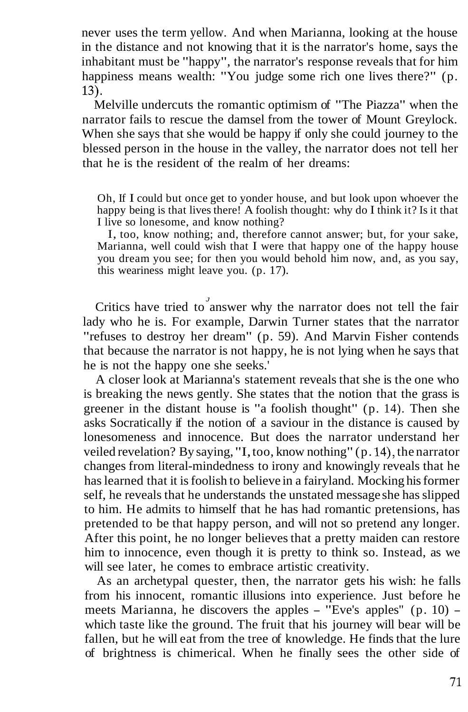never uses the term yellow. And when Marianna, looking at the house in the distance and not knowing that it is the narrator's home, says the inhabitant must be "happy", the narrator's response reveals that for him happiness means wealth: "You judge some rich one lives there?" (p. 13).

Melville undercuts the romantic optimism of "The Piazza" when the narrator fails to rescue the damsel from the tower of Mount Greylock. When she says that she would be happy if only she could journey to the blessed person in the house in the valley, the narrator does not tell her that he is the resident of the realm of her dreams:

Oh, If I could but once get to yonder house, and but look upon whoever the happy being is that lives there! A foolish thought: why do I think it? Is it that I live so lonesome, and know nothing?

I, too, know nothing; and, therefore cannot answer; but, for your sake, Marianna, well could wish that I were that happy one of the happy house you dream you see; for then you would behold him now, and, as you say, this weariness might leave you. (p. 17).

Critics have tried to answer why the narrator does not tell the fair lady who he is. For example, Darwin Turner states that the narrator "refuses to destroy her dream" (p. 59). And Marvin Fisher contends that because the narrator is not happy, he is not lying when he says that he is not the happy one she seeks.'

A closer look at Marianna's statement reveals that she is the one who is breaking the news gently. She states that the notion that the grass is greener in the distant house is "a foolish thought" (p. 14). Then she asks Socratically if the notion of a saviour in the distance is caused by lonesomeness and innocence. But does the narrator understand her veiled revelation? By saying, "I, too, know nothing" (p. **14),** the narrator changes from literal-mindedness to irony and knowingly reveals that he has learned that it is foolish to believe in a fairyland. Mocking his former self, he reveals that he understands the unstated message she has slipped to him. He admits to himself that he has had romantic pretensions, has pretended to be that happy person, and will not so pretend any longer. After this point, he no longer believes that a pretty maiden can restore him to innocence, even though it is pretty to think so. Instead, as we will see later, he comes to embrace artistic creativity.

As an archetypal quester, then, the narrator gets his wish: he falls from his innocent, romantic illusions into experience. Just before he meets Marianna, he discovers the apples - "Eve's apples" (p. 10) which taste like the ground. The fruit that his journey will bear will be fallen, but he will eat from the tree of knowledge. He finds that the lure of brightness is chimerical. When he finally sees the other side of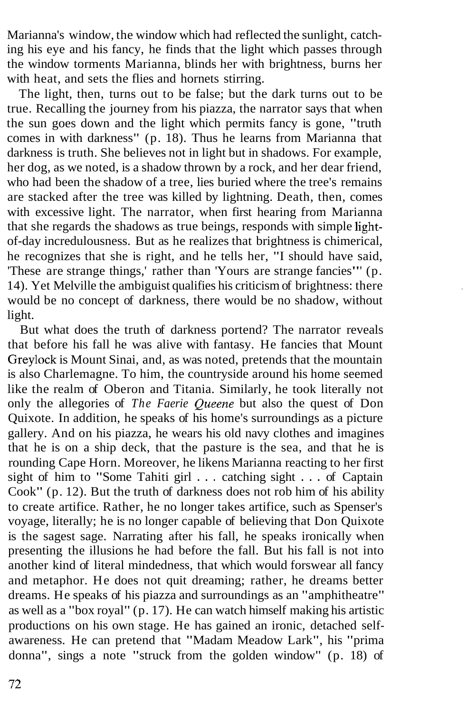Marianna's window, the window which had reflected the sunlight, catching his eye and his fancy, he finds that the light which passes through the window torments Marianna, blinds her with brightness, burns her with heat, and sets the flies and hornets stirring.

The light, then, turns out to be false; but the dark turns out to be true. Recalling the journey from his piazza, the narrator says that when the sun goes down and the light which permits fancy is gone, "truth comes in with darkness" (p. 18). Thus he learns from Marianna that darkness is truth. She believes not in light but in shadows. For example, her dog, as we noted, is a shadow thrown by a rock, and her dear friend, who had been the shadow of a tree, lies buried where the tree's remains are stacked after the tree was killed by lightning. Death, then, comes with excessive light. The narrator, when first hearing from Marianna that she regards the shadows as true beings, responds with simple lightof-day incredulousness. But as he realizes that brightness is chimerical, he recognizes that she is right, and he tells her, "I should have said, 'These are strange things,' rather than 'Yours are strange fancies"' (p. 14). Yet Melville the ambiguist qualifies his criticism of brightness: there would be no concept of darkness, there would be no shadow, without light.

But what does the truth of darkness portend? The narrator reveals that before his fall he was alive with fantasy. He fancies that Mount Greylock is Mount Sinai, and, as was noted, pretends that the mountain is also Charlemagne. To him, the countryside around his home seemed like the realm of Oberon and Titania. Similarly, he took literally not only the allegories of *The Faerie Queene* but also the quest of Don Quixote. In addition, he speaks of his home's surroundings as a picture gallery. And on his piazza, he wears his old navy clothes and imagines that he is on a ship deck, that the pasture is the sea, and that he is rounding Cape Horn. Moreover, he likens Marianna reacting to her first sight of him to "Some Tahiti girl . . . catching sight . . . of Captain Cook" (p. 12). But the truth of darkness does not rob him of his ability to create artifice. Rather, he no longer takes artifice, such as Spenser's voyage, literally; he is no longer capable of believing that Don Quixote is the sagest sage. Narrating after his fall, he speaks ironically when presenting the illusions he had before the fall. But his fall is not into another kind of literal mindedness, that which would forswear all fancy and metaphor. He does not quit dreaming; rather, he dreams better dreams. He speaks of his piazza and surroundings as an "amphitheatre" as well as a "box royal" (p. 17). He can watch himself making his artistic productions on his own stage. He has gained an ironic, detached selfawareness. He can pretend that "Madam Meadow Lark", his "prima donna", sings a note "struck from the golden window" (p. 18) of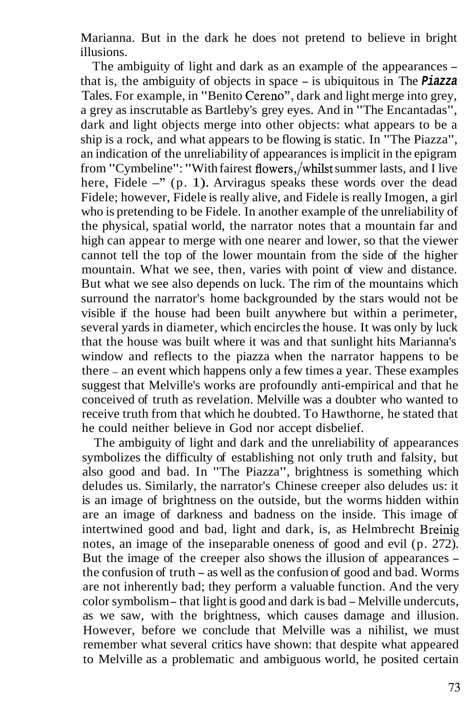Marianna. But in the dark he does not pretend to believe in bright illusions.

The ambiguity of light and dark as an example of the appearances – that is, the ambiguity of objects in space - is ubiquitous in The **Piazza**  Tales. For example, in "Benito Cereno", dark and light merge into grey, a grey as inscrutable as Bartleby's grey eyes. And in "The Encantadas", dark and light objects merge into other objects: what appears to be a ship is a rock, and what appears to be flowing is static. In "The Piazza", an indication of the unreliability of appearances is implicit in the epigram from "Cymbeline": "With fairest flowers,/whilst summer lasts, and I live here, Fidele -" (p. 1). Arviragus speaks these words over the dead Fidele; however, Fidele is really alive, and Fidele is really Imogen, a girl who is pretending to be Fidele. In another example of the unreliability of the physical, spatial world, the narrator notes that a mountain far and high can appear to merge with one nearer and lower, so that the viewer cannot tell the top of the lower mountain from the side of the higher mountain. What we see, then, varies with point of view and distance. But what we see also depends on luck. The rim of the mountains which surround the narrator's home backgrounded by the stars would not be visible if the house had been built anywhere but within a perimeter, several yards in diameter, which encircles the house. It was only by luck that the house was built where it was and that sunlight hits Marianna's window and reflects to the piazza when the narrator happens to be there - an event which happens only a few times a year. These examples suggest that Melville's works are profoundly anti-empirical and that he conceived of truth as revelation. Melville was a doubter who wanted to receive truth from that which he doubted. To Hawthorne, he stated that he could neither believe in God nor accept disbelief.

The ambiguity of light and dark and the unreliability of appearances symbolizes the difficulty of establishing not only truth and falsity, but also good and bad. In "The Piazza", brightness is something which deludes us. Similarly, the narrator's Chinese creeper also deludes us: it is an image of brightness on the outside, but the worms hidden within are an image of darkness and badness on the inside. This image of intertwined good and bad, light and dark, is, as Helmbrecht Breinig notes, an image of the inseparable oneness of good and evil (p. 272). But the image of the creeper also shows the illusion of appearances the confusion of truth - as well as the confusion of good and bad. Worms are not inherently bad; they perform a valuable function. And the very color symbolism - that light is good and dark is bad - Melville undercuts, as we saw, with the brightness, which causes damage and illusion. However, before we conclude that Melville was a nihilist, we must remember what several critics have shown: that despite what appeared to Melville as a problematic and ambiguous world, he posited certain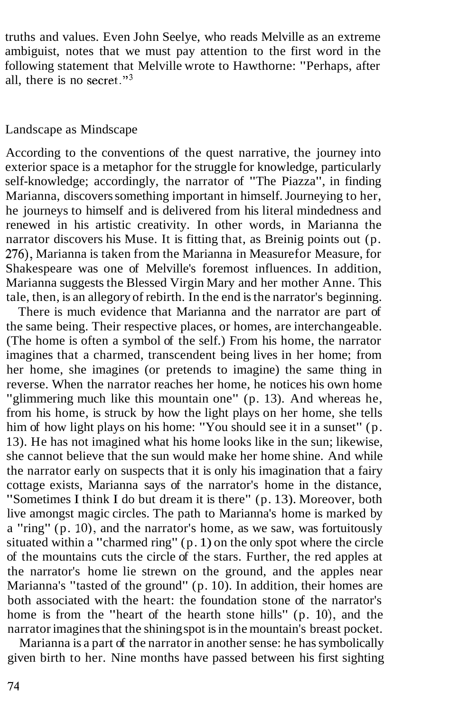truths and values. Even John Seelye, who reads Melville as an extreme ambiguist, notes that we must pay attention to the first word in the following statement that Melville wrote to Hawthorne: "Perhaps, after all, there is no secret." $3$ 

#### Landscape as Mindscape

According to the conventions of the quest narrative, the journey into exterior space is a metaphor for the struggle for knowledge, particularly self-knowledge; accordingly, the narrator of "The Piazza", in finding Marianna, discovers something important in himself. Journeying to her, he journeys to himself and is delivered from his literal mindedness and renewed in his artistic creativity. In other words, in Marianna the narrator discovers his Muse. It is fitting that, as Breinig points out (p. 276), Marianna is taken from the Marianna in Measure for Measure, for Shakespeare was one of Melville's foremost influences. In addition, Marianna suggests the Blessed Virgin Mary and her mother Anne. This tale, then, is an allegory of rebirth. In the end is the narrator's beginning.

There is much evidence that Marianna and the narrator are part of the same being. Their respective places, or homes, are interchangeable. (The home is often a symbol of the self.) From his home, the narrator imagines that a charmed, transcendent being lives in her home; from her home, she imagines (or pretends to imagine) the same thing in reverse. When the narrator reaches her home, he notices his own home "glimmering much like this mountain one" (p. 13). And whereas he, from his home, is struck by how the light plays on her home, she tells him of how light plays on his home: "You should see it in a sunset" (p. 13). He has not imagined what his home looks like in the sun; likewise, she cannot believe that the sun would make her home shine. And while the narrator early on suspects that it is only his imagination that a fairy cottage exists, Marianna says of the narrator's home in the distance, "Sometimes I think I do but dream it is there" (p. 13). Moreover, both live amongst magic circles. The path to Marianna's home is marked by a "ring"  $(p. 10)$ , and the narrator's home, as we saw, was fortuitously situated within a "charmed ring" (p. 1) on the only spot where the circle of the mountains cuts the circle of the stars. Further, the red apples at the narrator's home lie strewn on the ground, and the apples near Marianna's "tasted of the ground" (p. 10). In addition, their homes are both associated with the heart: the foundation stone of the narrator's home is from the "heart of the hearth stone hills"  $(p, 10)$ , and the narrator imagines that the shining spot is in the mountain's breast pocket.

Marianna is a part of the narrator in another sense: he has symbolically given birth to her. Nine months have passed between his first sighting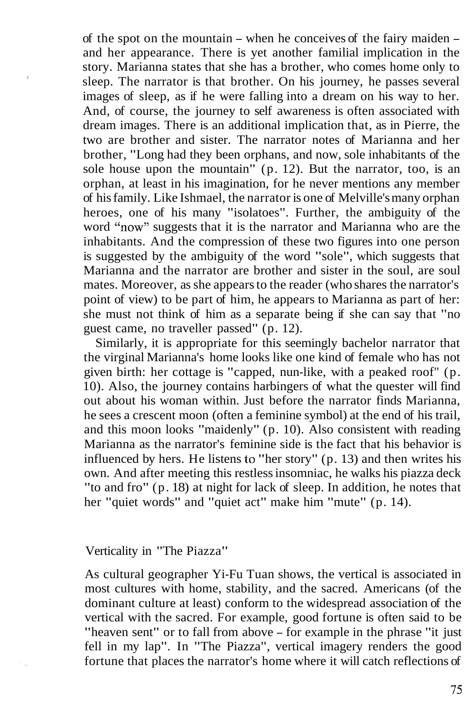of the spot on the mountain - when he conceives of the fairy maiden and her appearance. There is yet another familial implication in the story. Marianna states that she has a brother, who comes home only to sleep. The narrator is that brother. On his journey, he passes several images of sleep, as if he were falling into a dream on his way to her. And, of course, the journey to self awareness is often associated with dream images. There is an additional implication that, as in Pierre, the two are brother and sister. The narrator notes of Marianna and her brother, "Long had they been orphans, and now, sole inhabitants of the sole house upon the mountain" (p. 12). But the narrator, too, is an orphan, at least in his imagination, for he never mentions any member of his family. Like Ishmael, the narrator is one of Melville's many orphan heroes, one of his many "isolatoes". Further, the ambiguity of the word "now" suggests that it is the narrator and Marianna who are the inhabitants. And the compression of these two figures into one person is suggested by the ambiguity of the word "sole", which suggests that Marianna and the narrator are brother and sister in the soul, are soul mates. Moreover, as she appears to the reader (who shares the narrator's point of view) to be part of him, he appears to Marianna as part of her: she must not think of him as a separate being if she can say that "no guest came, no traveller passed" (p. 12).

Similarly, it is appropriate for this seemingly bachelor narrator that the virginal Marianna's home looks like one kind of female who has not given birth: her cottage is "capped, nun-like, with a peaked roof" (p. 10). Also, the journey contains harbingers of what the quester will find out about his woman within. Just before the narrator finds Marianna, he sees a crescent moon (often a feminine symbol) at the end of his trail, and this moon looks "maidenly" (p. 10). Also consistent with reading Marianna as the narrator's feminine side is the fact that his behavior is influenced by hers. He listens to "her story" (p. 13) and then writes his own. And after meeting this restless insomniac, he walks his piazza deck "to and fro" (p. 18) at night for lack of sleep. In addition, he notes that her "quiet words" and "quiet act" make him "mute" (p. 14).

Verticality in "The Piazza"

 $\epsilon$ 

As cultural geographer Yi-Fu Tuan shows, the vertical is associated in most cultures with home, stability, and the sacred. Americans (of the dominant culture at least) conform to the widespread association of the vertical with the sacred. For example, good fortune is often said to be "heaven sent" or to fall from above - for example in the phrase "it just fell in my lap". In "The Piazza", vertical imagery renders the good fortune that places the narrator's home where it will catch reflections of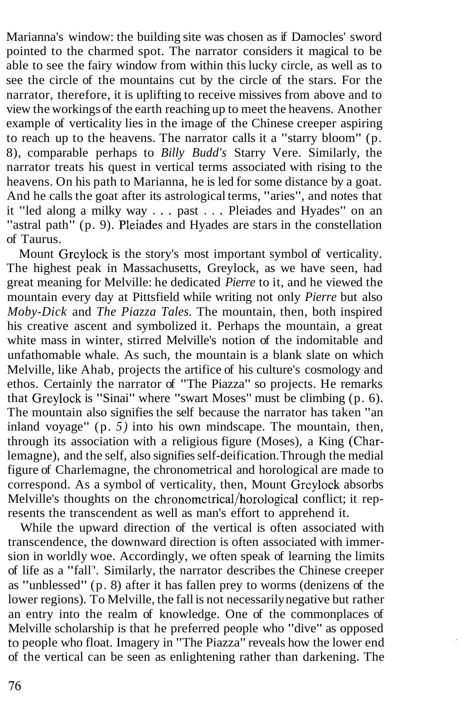Marianna's window: the building site was chosen as if Damocles' sword pointed to the charmed spot. The narrator considers it magical to be able to see the fairy window from within this lucky circle, as well as to see the circle of the mountains cut by the circle of the stars. For the narrator, therefore, it is uplifting to receive missives from above and to view the workings of the earth reaching up to meet the heavens. Another example of verticality lies in the image of the Chinese creeper aspiring to reach up to the heavens. The narrator calls it a "starry bloom" (p. 8), comparable perhaps to *Billy Budd's* Starry Vere. Similarly, the narrator treats his quest in vertical terms associated with rising to the heavens. On his path to Marianna, he is led for some distance by a goat. And he calls the goat after its astrological terms, "aries", and notes that it "led along a milky way . . . past . . . Pleiades and Hyades" on an "astral path" (p. 9). Pleiades and Hyades are stars in the constellation of Taurus.

Mount Greylock is the story's most important symbol of verticality. The highest peak in Massachusetts, Greylock, as we have seen, had great meaning for Melville: he dedicated *Pierre* to it, and he viewed the mountain every day at Pittsfield while writing not only *Pierre* but also *Moby-Dick* and *The Piazza Tales.* The mountain, then, both inspired his creative ascent and symbolized it. Perhaps the mountain, a great white mass in winter, stirred Melville's notion of the indomitable and unfathomable whale. As such, the mountain is a blank slate on which Melville, like Ahab, projects the artifice of his culture's cosmology and ethos. Certainly the narrator of "The Piazza" so projects. He remarks that Greylock is "Sinai" where "swart Moses" must be climbing (p. 6). The mountain also signifies the self because the narrator has taken "an inland voyage" (p. *5)* into his own mindscape. The mountain, then, through its association with a religious figure (Moses), a King (Charlemagne), and the self, also signifies self-deification. Through the medial figure of Charlemagne, the chronometrical and horological are made to correspond. As a symbol of verticality, then, Mount Greylock absorbs Melville's thoughts on the chronometrical/horological conflict; it represents the transcendent as well as man's effort to apprehend it.

While the upward direction of the vertical is often associated with transcendence, the downward direction is often associated with immersion in worldly woe. Accordingly, we often speak of learning the limits of life as a "fall". Similarly, the narrator describes the Chinese creeper as "unblessed" (p. 8) after it has fallen prey to worms (denizens of the lower regions). To Melville, the fall is not necessarily negative but rather an entry into the realm of knowledge. One of the commonplaces of Melville scholarship is that he preferred people who "dive" as opposed to people who float. Imagery in "The Piazza" reveals how the lower end of the vertical can be seen as enlightening rather than darkening. The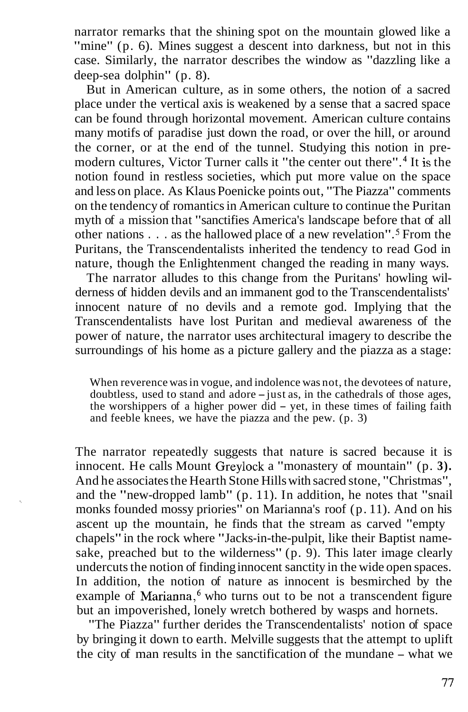narrator remarks that the shining spot on the mountain glowed like a "mine" (p. 6). Mines suggest a descent into darkness, but not in this case. Similarly, the narrator describes the window as "dazzling like a deep-sea dolphin" (p. 8).

But in American culture, as in some others, the notion of a sacred place under the vertical axis is weakened by a sense that a sacred space can be found through horizontal movement. American culture contains many motifs of paradise just down the road, or over the hill, or around the corner, or at the end of the tunnel. Studying this notion in premodern cultures, Victor Turner calls it "the center out there" **.4** It is the notion found in restless societies, which put more value on the space and less on place. As Klaus Poenicke points out, "The Piazza" comments on the tendency of romantics in American culture to continue the Puritan myth of a mission that "sanctifies America's landscape before that of all other nations . . . as the hallowed place of a new revelation". From the Puritans, the Transcendentalists inherited the tendency to read God in nature, though the Enlightenment changed the reading in many ways.

The narrator alludes to this change from the Puritans' howling wilderness of hidden devils and an immanent god to the Transcendentalists' innocent nature of no devils and a remote god. Implying that the Transcendentalists have lost Puritan and medieval awareness of the power of nature, the narrator uses architectural imagery to describe the surroundings of his home as a picture gallery and the piazza as a stage:

When reverence was in vogue, and indolence was not, the devotees of nature, doubtless, used to stand and adore  $-$  just as, in the cathedrals of those ages, the worshippers of a higher power did  $-$  yet, in these times of failing faith and feeble knees, we have the piazza and the pew. (p. 3)

The narrator repeatedly suggests that nature is sacred because it is innocent. He calls Mount Greylock a "monastery of mountain" (p. **3).**  And he associates the Hearth Stone Hills with sacred stone, "Christmas", and the "new-dropped lamb" (p. 11). In addition, he notes that "snail monks founded mossy priories" on Marianna's roof (p. 11). And on his ascent up the mountain, he finds that the stream as carved "empty chapels" in the rock where "Jacks-in-the-pulpit, like their Baptist namesake, preached but to the wilderness" (p. 9). This later image clearly undercuts the notion of finding innocent sanctity in the wide open spaces. In addition, the notion of nature as innocent is besmirched by the example of Marianna, $<sup>6</sup>$  who turns out to be not a transcendent figure</sup> but an impoverished, lonely wretch bothered by wasps and hornets.

"The Piazza" further derides the Transcendentalists' notion of space by bringing it down to earth. Melville suggests that the attempt to uplift the city of man results in the sanctification of the mundane - what we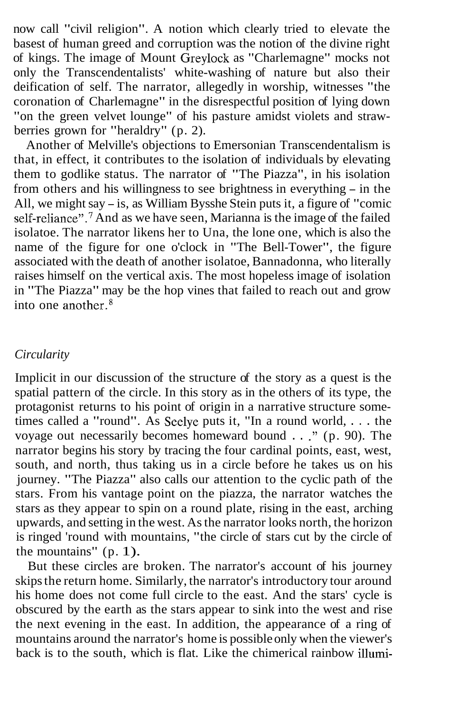now call "civil religion". A notion which clearly tried to elevate the basest of human greed and corruption was the notion of the divine right of kings. The image of Mount Greylock as "Charlemagne" mocks not only the Transcendentalists' white-washing of nature but also their deification of self. The narrator, allegedly in worship, witnesses "the coronation of Charlemagne" in the disrespectful position of lying down "on the green velvet lounge" of his pasture amidst violets and strawberries grown for "heraldry" (p. 2).

Another of Melville's objections to Emersonian Transcendentalism is that, in effect, it contributes to the isolation of individuals by elevating them to godlike status. The narrator of "The Piazza", in his isolation from others and his willingness to see brightness in everything - in the All, we might say - is, as William Bysshe Stein puts it, a figure of "comic self-reliance".<sup>7</sup> And as we have seen, Marianna is the image of the failed isolatoe. The narrator likens her to Una, the lone one, which is also the name of the figure for one o'clock in "The Bell-Tower", the figure associated with the death of another isolatoe, Bannadonna, who literally raises himself on the vertical axis. The most hopeless image of isolation in "The Piazza" may be the hop vines that failed to reach out and grow into one another. $8$ 

#### *Circularity*

Implicit in our discussion of the structure of the story as a quest is the spatial pattern of the circle. In this story as in the others of its type, the protagonist returns to his point of origin in a narrative structure sometimes called a "round". As Seelye puts it, "In a round world, . . . the voyage out necessarily becomes homeward bound . . ." (p. 90). The narrator begins his story by tracing the four cardinal points, east, west, south, and north, thus taking us in a circle before he takes us on his journey. "The Piazza" also calls our attention to the cyclic path of the stars. From his vantage point on the piazza, the narrator watches the stars as they appear to spin on a round plate, rising in the east, arching upwards, and setting in the west. As the narrator looks north, the horizon is ringed 'round with mountains, "the circle of stars cut by the circle of the mountains" (p. 1).

But these circles are broken. The narrator's account of his journey skips the return home. Similarly, the narrator's introductory tour around his home does not come full circle to the east. And the stars' cycle is obscured by the earth as the stars appear to sink into the west and rise the next evening in the east. In addition, the appearance of a ring of mountains around the narrator's home is possible only when the viewer's back is to the south, which is flat. Like the chimerical rainbow illumi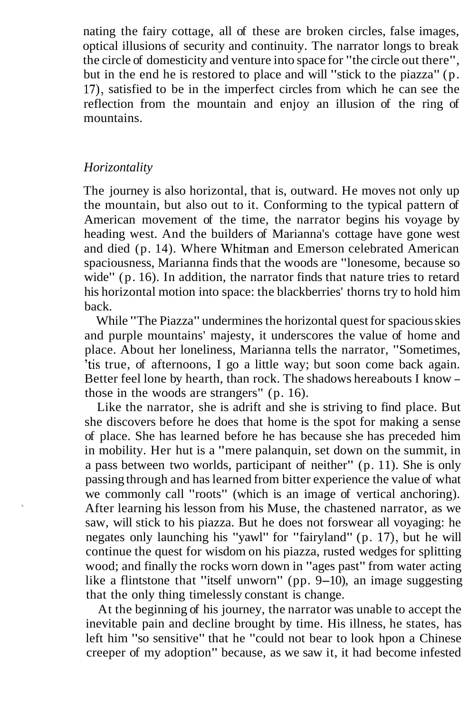nating the fairy cottage, all of these are broken circles, false images, optical illusions of security and continuity. The narrator longs to break the circle of domesticity and venture into space for "the circle out there", but in the end he is restored to place and will "stick to the piazza" (p. 17), satisfied to be in the imperfect circles from which he can see the reflection from the mountain and enjoy an illusion of the ring of mountains.

# *Horizontality*

The journey is also horizontal, that is, outward. He moves not only up the mountain, but also out to it. Conforming to the typical pattern of American movement of the time, the narrator begins his voyage by heading west. And the builders of Marianna's cottage have gone west and died (p. 14). Where Whitman and Emerson celebrated American spaciousness, Marianna finds that the woods are "lonesome, because so wide" (p. 16). In addition, the narrator finds that nature tries to retard his horizontal motion into space: the blackberries' thorns try to hold him back.

While "The Piazza" undermines the horizontal quest for spacious skies and purple mountains' majesty, it underscores the value of home and place. About her loneliness, Marianna tells the narrator, "Sometimes, 'tis true, of afternoons, I go a little way; but soon come back again. Better feel lone by hearth, than rock. The shadows hereabouts I know those in the woods are strangers" (p. 16).

Like the narrator, she is adrift and she is striving to find place. But she discovers before he does that home is the spot for making a sense of place. She has learned before he has because she has preceded him in mobility. Her hut is a "mere palanquin, set down on the summit, in a pass between two worlds, participant of neither" (p. 11). She is only passing through and has learned from bitter experience the value of what we commonly call "roots" (which is an image of vertical anchoring). After learning his lesson from his Muse, the chastened narrator, as we saw, will stick to his piazza. But he does not forswear all voyaging: he negates only launching his "yawl" for "fairyland" (p. 17), but he will continue the quest for wisdom on his piazza, rusted wedges for splitting wood; and finally the rocks worn down in "ages past" from water acting like a flintstone that "itself unworn" (pp. 9-10), an image suggesting that the only thing timelessly constant is change.

At the beginning of his journey, the narrator was unable to accept the inevitable pain and decline brought by time. His illness, he states, has left him "so sensitive" that he "could not bear to look hpon a Chinese creeper of my adoption" because, as we saw it, it had become infested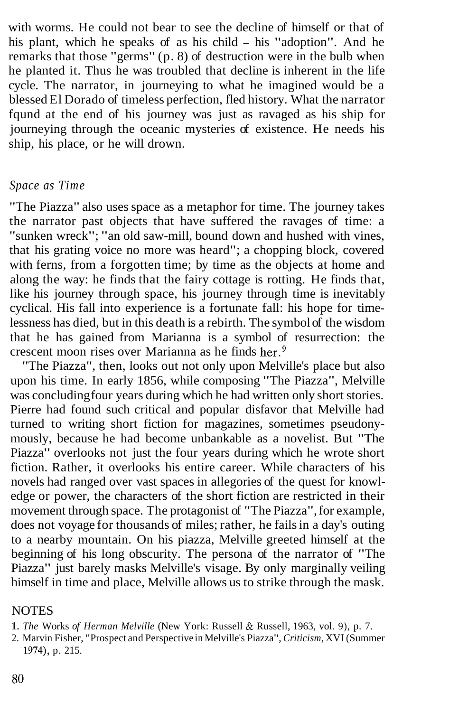with worms. He could not bear to see the decline of himself or that of his plant, which he speaks of as his child – his "adoption". And he remarks that those "germs" (p. 8) of destruction were in the bulb when he planted it. Thus he was troubled that decline is inherent in the life cycle. The narrator, in journeying to what he imagined would be a blessed El Dorado of timeless perfection, fled history. What the narrator fqund at the end of his journey was just as ravaged as his ship for journeying through the oceanic mysteries of existence. He needs his ship, his place, or he will drown.

## *Space as Time*

"The Piazza" also uses space as a metaphor for time. The journey takes the narrator past objects that have suffered the ravages of time: a "sunken wreck"; "an old saw-mill, bound down and hushed with vines, that his grating voice no more was heard"; a chopping block, covered with ferns, from a forgotten time; by time as the objects at home and along the way: he finds that the fairy cottage is rotting. He finds that, like his journey through space, his journey through time is inevitably cyclical. His fall into experience is a fortunate fall: his hope for timelessness has died, but in this death is a rebirth. The symbol of the wisdom that he has gained from Marianna is a symbol of resurrection: the crescent moon rises over Marianna as he finds her.<sup>9</sup>

"The Piazza", then, looks out not only upon Melville's place but also upon his time. In early 1856, while composing "The Piazza", Melville was concluding four years during which he had written only short stories. Pierre had found such critical and popular disfavor that Melville had turned to writing short fiction for magazines, sometimes pseudonymously, because he had become unbankable as a novelist. But "The Piazza" overlooks not just the four years during which he wrote short fiction. Rather, it overlooks his entire career. While characters of his novels had ranged over vast spaces in allegories of the quest for knowledge or power, the characters of the short fiction are restricted in their movement through space. The protagonist of "The Piazza", for example, does not voyage for thousands of miles; rather, he fails in a day's outing to a nearby mountain. On his piazza, Melville greeted himself at the beginning of his long obscurity. The persona of the narrator of "The Piazza" just barely masks Melville's visage. By only marginally veiling himself in time and place, Melville allows us to strike through the mask.

## **NOTES**

1. *The* Works *of Herman Melville* (New York: Russell & Russell, 1963, vol. 9), p. 7.

2. Marvin Fisher, "Prospect and Perspective in Melville's Piazza", *Criticism,* XVI (Summer 1974), p. 215.